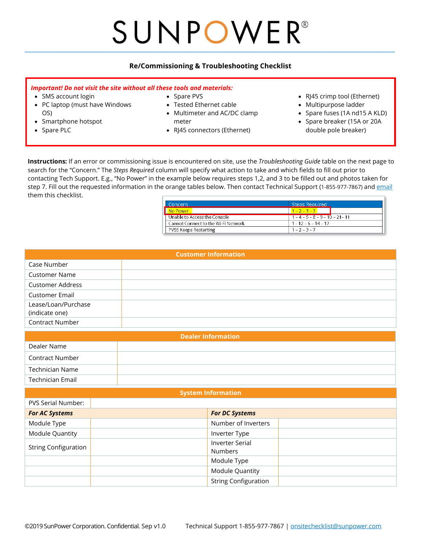# SUNPOWER® **\_\_\_\_\_\_\_\_\_\_\_\_\_\_\_\_\_\_\_\_\_\_\_\_\_\_\_\_\_\_\_\_\_\_\_\_\_\_\_\_\_\_\_\_\_\_\_\_\_\_\_\_\_\_\_\_\_\_\_\_\_\_\_\_\_\_\_\_\_\_\_\_\_\_\_\_\_\_\_\_\_\_\_\_\_\_\_\_\_\_\_\_\_\_\_\_\_\_\_\_\_\_\_\_\_\_\_\_\_\_\_\_\_\_\_\_\_\_\_\_\_\_\_\_\_\_\_\_\_\_\_**

### **Re/Commissioning & Troubleshooting Checklist**

#### *Important! Do not visit the site without all these tools and materials:*

- SMS account login
- PC laptop (must have Windows OS)
- Smartphone hotspot
- Spare PLC
- Spare PVS
- Tested Ethernet cable
- Multimeter and AC/DC clamp meter
- RJ45 connectors (Ethernet)
- RJ45 crimp tool (Ethernet)
- Multipurpose ladder
- Spare fuses (1A nd15 A KLD)
- Spare breaker (15A or 20A double pole breaker)

**Instructions:** If an error or commissioning issue is encountered on site, use the *Troubleshooting Guide* table on the next page to search for the "Concern." The *Steps Required* column will specify what action to take and which fields to fill out prior to contacting Tech Support. E.g., "No Power" in the example below requires steps 1,2, and 3 to be filled out and photos taken for step 7. Fill out the requested information in the orange tables below. Then contact Technical Support (1-855-977-7867) and [email](mailto:onsitechecklist@sunpower.com?subject=Commissioning%20Checklist) them this checklist.

| ' Concerni                          | <b>Steps Required</b>              |  |
|-------------------------------------|------------------------------------|--|
| No Power                            | $1 - 2 - 3 - 7$                    |  |
| Unable to Access the Console        | $1 - 4 - 5 - 8 - 9 - 10 - 21 - 11$ |  |
| Cannot Connect to the Wi-Fi Network | $1 - 12 - 6 - 14 - 17$             |  |
| PVS5 Keeps Restarting               | $1 - 2 - 3 - 7$                    |  |

| <b>Customer Information</b> |  |                                   |  |  |
|-----------------------------|--|-----------------------------------|--|--|
| Case Number                 |  |                                   |  |  |
| <b>Customer Name</b>        |  |                                   |  |  |
| <b>Customer Address</b>     |  |                                   |  |  |
| <b>Customer Email</b>       |  |                                   |  |  |
| Lease/Loan/Purchase         |  |                                   |  |  |
| (indicate one)              |  |                                   |  |  |
| Contract Number             |  |                                   |  |  |
| <b>Dealer Information</b>   |  |                                   |  |  |
| Dealer Name                 |  |                                   |  |  |
| Contract Number             |  |                                   |  |  |
| <b>Technician Name</b>      |  |                                   |  |  |
| <b>Technician Email</b>     |  |                                   |  |  |
| <b>System Information</b>   |  |                                   |  |  |
| PVS Serial Number:          |  |                                   |  |  |
| <b>For AC Systems</b>       |  | <b>For DC Systems</b>             |  |  |
| Module Type                 |  | Number of Inverters               |  |  |
| Module Quantity             |  | Inverter Type                     |  |  |
| <b>String Configuration</b> |  | <b>Inverter Serial</b><br>Numbers |  |  |
|                             |  | Module Type                       |  |  |

Module Quantity String Configuration